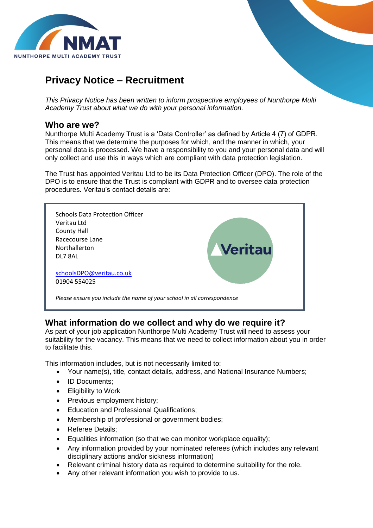

# **Privacy Notice – Recruitment**

*This Privacy Notice has been written to inform prospective employees of Nunthorpe Multi Academy Trust about what we do with your personal information.*

#### **Who are we?**

Nunthorpe Multi Academy Trust is a 'Data Controller' as defined by Article 4 (7) of GDPR. This means that we determine the purposes for which, and the manner in which, your personal data is processed. We have a responsibility to you and your personal data and will only collect and use this in ways which are compliant with data protection legislation.

The Trust has appointed Veritau Ltd to be its Data Protection Officer (DPO). The role of the DPO is to ensure that the Trust is compliant with GDPR and to oversee data protection procedures. Veritau's contact details are:



## **What information do we collect and why do we require it?**

As part of your job application Nunthorpe Multi Academy Trust will need to assess your suitability for the vacancy. This means that we need to collect information about you in order to facilitate this.

This information includes, but is not necessarily limited to:

- Your name(s), title, contact details, address, and National Insurance Numbers;
- ID Documents:
- Eligibility to Work
- Previous employment history;
- **Education and Professional Qualifications:**
- Membership of professional or government bodies;
- Referee Details;
- Equalities information (so that we can monitor workplace equality);
- Any information provided by your nominated referees (which includes any relevant disciplinary actions and/or sickness information)
- Relevant criminal history data as required to determine suitability for the role.
- Any other relevant information you wish to provide to us.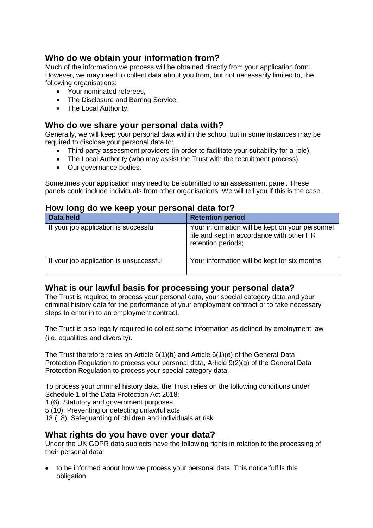# **Who do we obtain your information from?**

Much of the information we process will be obtained directly from your application form. However, we may need to collect data about you from, but not necessarily limited to, the following organisations:

- Your nominated referees,
- The Disclosure and Barring Service,
- The Local Authority.

#### **Who do we share your personal data with?**

Generally, we will keep your personal data within the school but in some instances may be required to disclose your personal data to:

- Third party assessment providers (in order to facilitate your suitability for a role),
- The Local Authority (who may assist the Trust with the recruitment process),
- Our governance bodies.

Sometimes your application may need to be submitted to an assessment panel. These panels could include individuals from other organisations. We will tell you if this is the case.

#### **How long do we keep your personal data for?**

| Data held                               | <b>Retention period</b>                                                                                            |
|-----------------------------------------|--------------------------------------------------------------------------------------------------------------------|
| If your job application is successful   | Your information will be kept on your personnel<br>file and kept in accordance with other HR<br>retention periods; |
| If your job application is unsuccessful | Your information will be kept for six months                                                                       |

#### **What is our lawful basis for processing your personal data?**

The Trust is required to process your personal data, your special category data and your criminal history data for the performance of your employment contract or to take necessary steps to enter in to an employment contract.

The Trust is also legally required to collect some information as defined by employment law (i.e. equalities and diversity).

The Trust therefore relies on Article 6(1)(b) and Article 6(1)(e) of the General Data Protection Regulation to process your personal data, Article 9(2)(g) of the General Data Protection Regulation to process your special category data.

To process your criminal history data, the Trust relies on the following conditions under Schedule 1 of the Data Protection Act 2018:

1 (6). Statutory and government purposes

5 (10). Preventing or detecting unlawful acts

13 (18). Safeguarding of children and individuals at risk

## **What rights do you have over your data?**

Under the UK GDPR data subjects have the following rights in relation to the processing of their personal data:

 to be informed about how we process your personal data. This notice fulfils this obligation